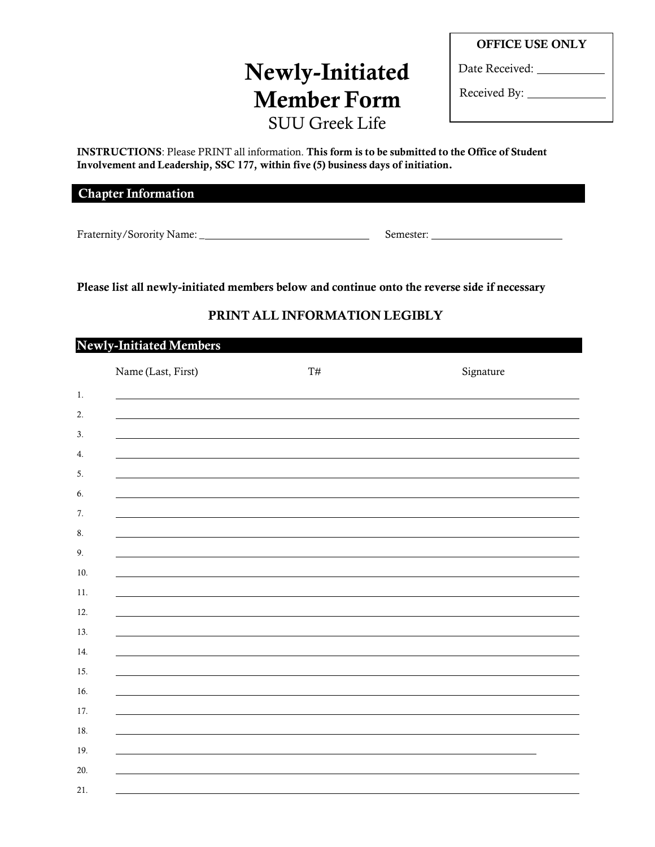## **Newly-Initiated Member Form** SUU Greek Life

Date Received:

Received By:

**INSTRUCTIONS**: Please PRINT all information. **This form is to be submitted to the Office of Student Involvement and Leadership, SSC 177, within five (5) business days of initiation.**

**Chapter Information**

Fraternity/Sorority Name: \_ Semester:

**Please list all newly-initiated members below and continue onto the reverse side if necessary**

## **PRINT ALL INFORMATION LEGIBLY**

| <b>Newly-Initiated Members</b> |                    |                |           |  |
|--------------------------------|--------------------|----------------|-----------|--|
|                                | Name (Last, First) | $\mathrm{T}\#$ | Signature |  |
| 1.                             |                    |                |           |  |
| 2.                             |                    |                |           |  |
| 3.                             |                    |                |           |  |
| 4.                             |                    |                |           |  |
| 5.                             |                    |                |           |  |
| 6.                             |                    |                |           |  |
| 7.                             |                    |                |           |  |
| 8.                             |                    |                |           |  |
| 9.                             |                    |                |           |  |
| 10.                            |                    |                |           |  |
| 11.                            |                    |                |           |  |
| 12.                            |                    |                |           |  |
| 13.                            |                    |                |           |  |
| 14.                            |                    |                |           |  |
| 15.                            |                    |                |           |  |
| 16.                            |                    |                |           |  |
| 17.                            |                    |                |           |  |
| 18.                            |                    |                |           |  |
| 19.                            |                    |                |           |  |
| 20.                            |                    |                |           |  |
| 21.                            |                    |                |           |  |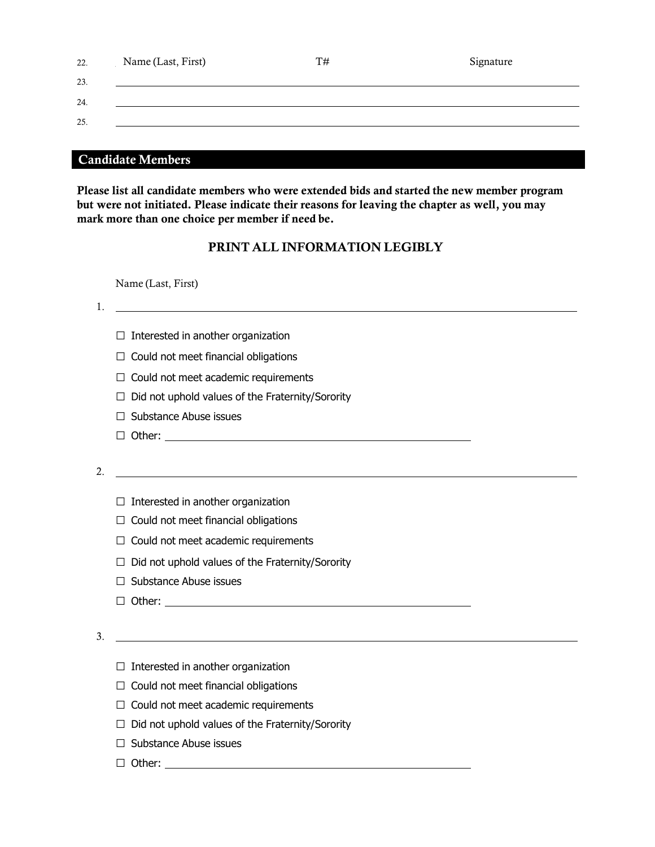| 22. | Name (Last, First) | T# | Signature |
|-----|--------------------|----|-----------|
| 23. |                    |    |           |
| 24. |                    |    |           |
| 25. |                    |    |           |
|     |                    |    |           |

## **Candidate Members**

**Please list all candidate members who were extended bids and started the new member program but were not initiated. Please indicate their reasons for leaving the chapter as well, you may mark more than one choice per member if need be.**

## **PRINT ALL INFORMATION LEGIBLY**

Name (Last, First)

1.

- $\square$  Interested in another organization
- $\Box$  Could not meet financial obligations
- $\Box$  Could not meet academic requirements
- $\Box$  Did not uphold values of the Fraternity/Sorority
- □ Substance Abuse issues
- □ Other:

2.

- $\Box$  Interested in another organization
- $\Box$  Could not meet financial obligations
- $\Box$  Could not meet academic requirements
- $\Box$  Did not uphold values of the Fraternity/Sorority
- □ Substance Abuse issues
- □ Other:

3.

- $\square$  Interested in another organization
- $\Box$  Could not meet financial obligations
- $\Box$  Could not meet academic requirements
- $\Box$  Did not uphold values of the Fraternity/Sorority
- □ Substance Abuse issues
- □ Other: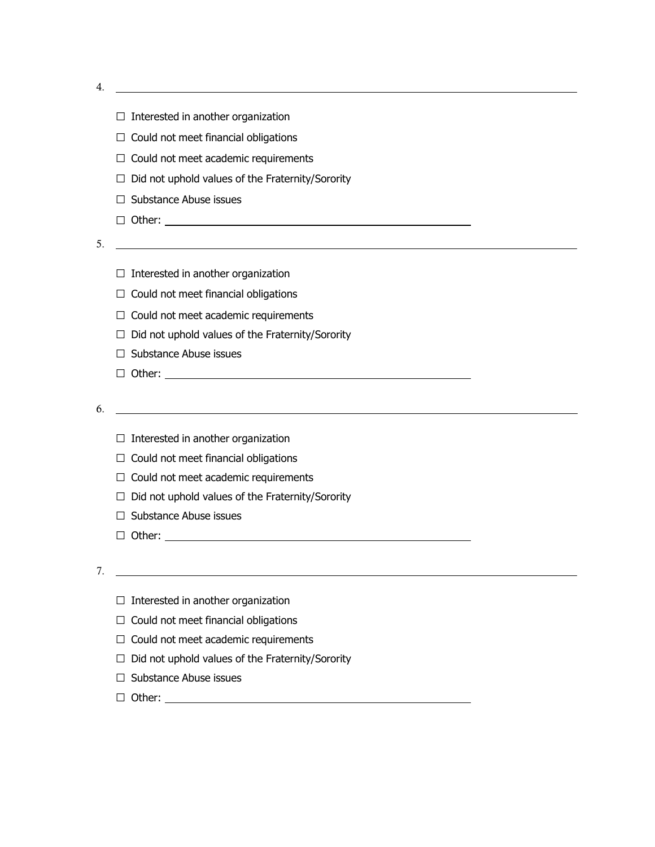4.

|    | Interested in another organization                                                                                   |
|----|----------------------------------------------------------------------------------------------------------------------|
|    | Could not meet financial obligations<br>ш                                                                            |
|    | $\Box$ Could not meet academic requirements                                                                          |
|    | $\Box$ Did not uphold values of the Fraternity/Sorority                                                              |
|    | $\Box$ Substance Abuse issues                                                                                        |
|    |                                                                                                                      |
| 5. | <u> 1989 - Johann Barbara, martxa alemaniar arg</u>                                                                  |
|    |                                                                                                                      |
|    | $\Box$ Interested in another organization                                                                            |
|    | $\Box$ Could not meet financial obligations                                                                          |
|    | Could not meet academic requirements                                                                                 |
|    | Did not uphold values of the Fraternity/Sorority                                                                     |
|    | Substance Abuse issues                                                                                               |
|    | $\Box$ Other: $\Box$                                                                                                 |
|    |                                                                                                                      |
| 6. | <u> 1989 - Johann Barn, mars ann an t-Amhain Aonaich an t-Aonaich an t-Aonaich ann an t-Aonaich ann an t-Aonaich</u> |
|    | $\Box$ Interested in another organization                                                                            |
|    | $\Box$ Could not meet financial obligations                                                                          |
|    | $\Box$ Could not meet academic requirements                                                                          |
|    | Did not uphold values of the Fraternity/Sorority<br>$\perp$                                                          |
|    | $\Box$ Substance Abuse issues                                                                                        |
|    |                                                                                                                      |
|    | $\Box$ Other:                                                                                                        |
|    |                                                                                                                      |
| 7. |                                                                                                                      |
|    |                                                                                                                      |
|    | Interested in another organization<br>Could not meet financial obligations                                           |
|    | Could not meet academic requirements                                                                                 |
|    | Did not uphold values of the Fraternity/Sorority                                                                     |

□ Other: